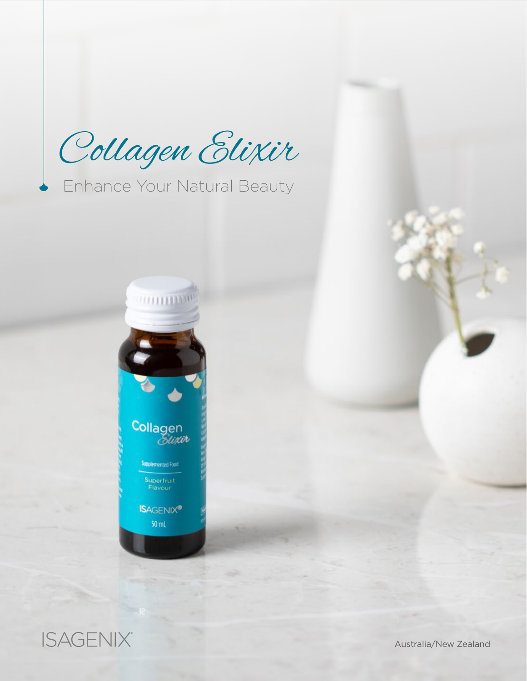Collagen Elixir

Enhance Your Natural Beauty





Australia/New Zealand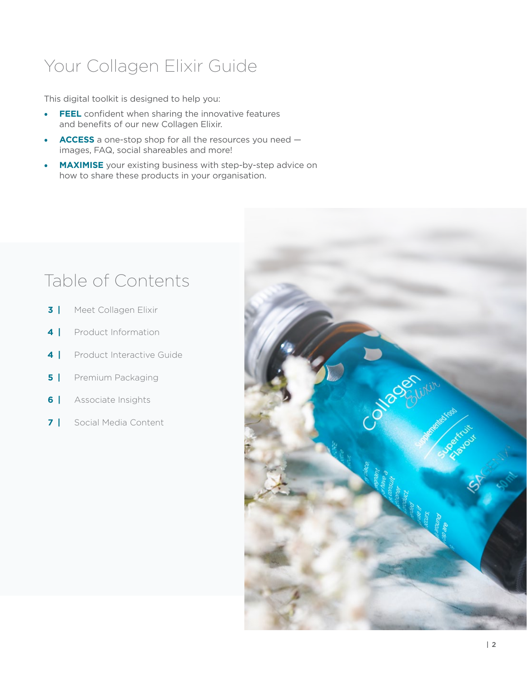# Your Collagen Elixir Guide

This digital toolkit is designed to help you:

- **• FEEL** confident when sharing the innovative features and benefits of our new Collagen Elixir.
- **• ACCESS** a one-stop shop for all the resources you need images, FAQ, social shareables and more!
- **MAXIMISE** your existing business with step-by-step advice on how to share these products in your organisation.

# Table of Contents

- **3 |** Meet Collagen Elixir
- **4 |** Product Information
- **4** | Product Interactive Guide
- **5** | Premium Packaging
- **6 |** Associate Insights
- **7 |** Social Media Content

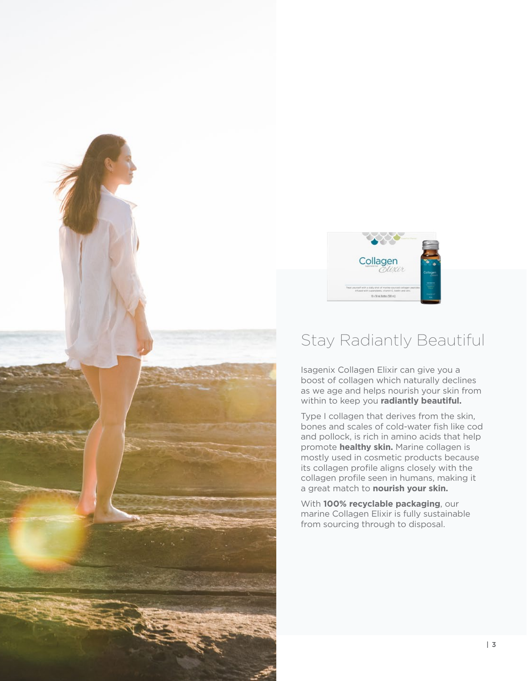



### Stay Radiantly Beautiful

Isagenix Collagen Elixir can give you a boost of collagen which naturally declines as we age and helps nourish your skin from within to keep you **radiantly beautiful.**

Type I collagen that derives from the skin, bones and scales of cold-water fish like cod and pollock, is rich in amino acids that help promote **healthy skin.** Marine collagen is mostly used in cosmetic products because its collagen profile aligns closely with the collagen profile seen in humans, making it a great match to **nourish your skin.** 

With **100% recyclable packaging**, our marine Collagen Elixir is fully sustainable from sourcing through to disposal.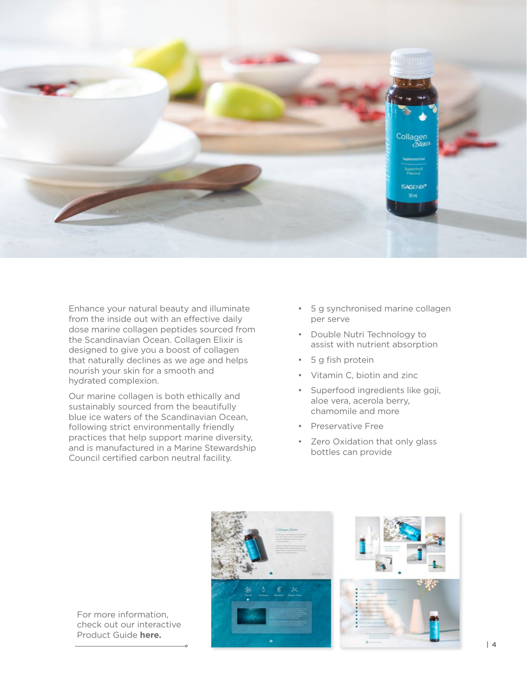

Enhance your natural beauty and illuminate from the inside out with an effective daily dose marine collagen peptides sourced from the Scandinavian Ocean. Collagen Elixir is designed to give you a boost of collagen that naturally declines as we age and helps nourish your skin for a smooth and hydrated complexion.

Our marine collagen is both ethically and sustainably sourced from the beautifully blue ice waters of the Scandinavian Ocean, following strict environmentally friendly practices that help support marine diversity, and is manufactured in a Marine Stewardship Council certified carbon neutral facility.

- 5 g synchronised marine collagen per serve
- Double Nutri Technology to assist with nutrient absorption
- 5 g fish protein
- Vitamin C, biotin and zinc
- Superfood ingredients like goji, aloe vera, acerola berry, chamomile and more
- Preservative Free
- Zero Oxidation that only glass bottles can provide



For more information, check out our interactive Product Guide **[here.](http://view.ceros.com/isagenix/collagen-elixir-toolkit-anz)**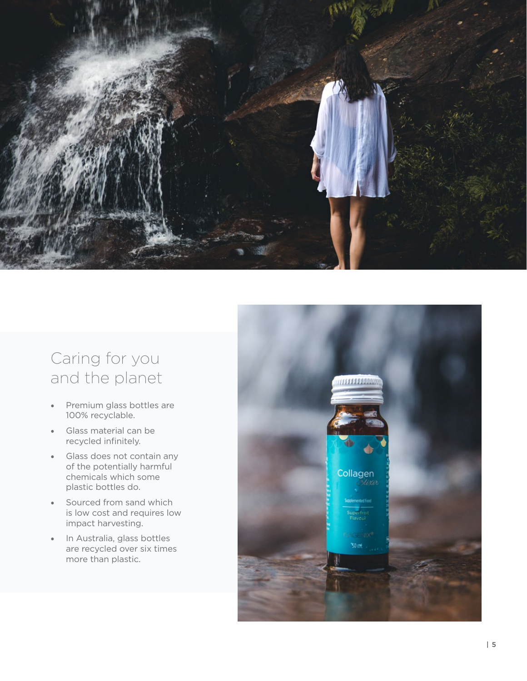

## Caring for you and the planet

- Premium glass bottles are 100% recyclable.
- Glass material can be recycled infinitely.
- Glass does not contain any of the potentially harmful chemicals which some plastic bottles do.
- Sourced from sand which is low cost and requires low impact harvesting.
- In Australia, glass bottles are recycled over six times more than plastic.

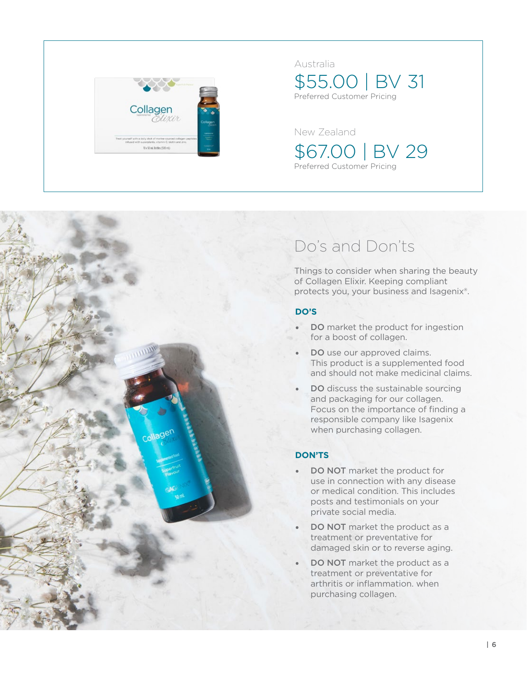

### Australia

\$55.00 | BV 31 Preferred Customer Pricing

New Zealand

\$67.00 | BV 29 Preferred Customer Pricing

## Do's and Don'ts

Things to consider when sharing the beauty of Collagen Elixir. Keeping compliant protects you, your business and Isagenix®.

### **DO'S**

- DO market the product for ingestion for a boost of collagen.
- **DO** use our approved claims. This product is a supplemented food and should not make medicinal claims.
- DO discuss the sustainable sourcing and packaging for our collagen. Focus on the importance of finding a responsible company like Isagenix when purchasing collagen.

### **DON'TS**

- DO NOT market the product for use in connection with any disease or medical condition. This includes posts and testimonials on your private social media.
- DO NOT market the product as a treatment or preventative for damaged skin or to reverse aging.
- DO NOT market the product as a treatment or preventative for arthritis or inflammation. when purchasing collagen.